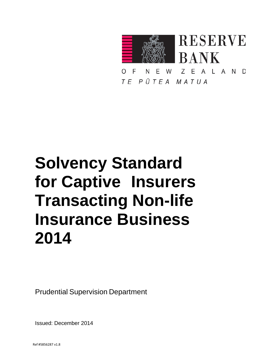

N E W  $\overline{z}$ E A L A N D E ∩ TE PŪTEA MATUA

# **Solvency Standard for Captive Insurers Transacting Non-life Insurance Business 2014**

Prudential Supervision Department

Issued: December 2014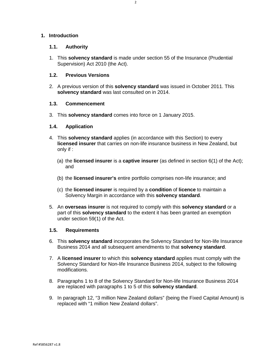# **1. Introduction**

#### **1.1. Authority**

1. This **solvency standard** is made under section 55 of the Insurance (Prudential Supervision) Act 2010 (the Act).

# **1.2. Previous Versions**

2. A previous version of this **solvency standard** was issued in October 2011. This **solvency standard** was last consulted on in 2014.

### **1.3. Commencement**

3. This **solvency standard** comes into force on 1 January 2015.

### **1.4. Application**

- 4. This **solvency standard** applies (in accordance with this Section) to every **licensed insurer** that carries on non-life insurance business in New Zealand, but only if :
	- (a) the **licensed insurer** is a **captive insurer** (as defined in section 6(1) of the Act); and
	- (b) the **licensed insurer's** entire portfolio comprises non-life insurance; and
	- (c) the **licensed insurer** is required by a **condition** of **licence** to maintain a Solvency Margin in accordance with this **solvency standard**.
- 5. An **overseas insurer** is not required to comply with this **solvency standard** or a part of this **solvency standard** to the extent it has been granted an exemption under section 59(1) of the Act.

# **1.5. Requirements**

- 6. This **solvency standard** incorporates the Solvency Standard for Non-life Insurance Business 2014 and all subsequent amendments to that **solvency standard**.
- 7. A **licensed insurer** to which this **solvency standard** applies must comply with the Solvency Standard for Non-life Insurance Business 2014, subject to the following modifications.
- 8. Paragraphs 1 to 8 of the Solvency Standard for Non-life Insurance Business 2014 are replaced with paragraphs 1 to 5 of this **solvency standard**.
- 9. In paragraph 12, "3 million New Zealand dollars" (being the Fixed Capital Amount) is replaced with "1 million New Zealand dollars".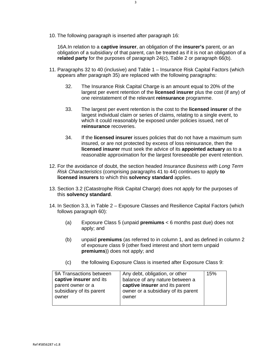10. The following paragraph is inserted after paragraph 16:

16A.In relation to a **captive insurer**, an obligation of the **insurer's** parent, or an obligation of a subsidiary of that parent, can be treated as if it is not an obligation of a **related party** for the purposes of paragraph 24(c), Table 2 or paragraph 66(b).

- 11. Paragraphs 32 to 40 (inclusive) and Table 1 Insurance Risk Capital Factors (which appears after paragraph 35) are replaced with the following paragraphs:
	- 32. The Insurance Risk Capital Charge is an amount equal to 20% of the largest per event retention of the **licensed insurer** plus the cost (if any) of one reinstatement of the relevant **reinsurance** programme.
	- 33. The largest per event retention is the cost to the **licensed insurer** of the largest individual claim or series of claims, relating to a single event, to which it could reasonably be exposed under policies issued, net of **reinsurance** recoveries.
	- 34. If the **licensed insurer** issues policies that do not have a maximum sum insured, or are not protected by excess of loss reinsurance, then the **licensed insurer** must seek the advice of its **appointed actuary** as to a reasonable approximation for the largest foreseeable per event retention.
- 12. For the avoidance of doubt, the section headed *Insurance Business with Long Term Risk Characteristics* (comprising paragraphs 41 to 44) continues to apply **to licensed insurers** to which this **solvency standard** applies.
- 13. Section 3.2 (Catastrophe Risk Capital Charge) does not apply for the purposes of this **solvency standard**.
- 14. In Section 3.3, in Table 2 Exposure Classes and Resilience Capital Factors (which follows paragraph 60):
	- (a) Exposure Class 5 (unpaid **premiums** < 6 months past due) does not apply; and
	- (b) unpaid **premiums** (as referred to in column 1, and as defined in column 2 of exposure class 9 (other fixed interest and short term unpaid **premiums**)) does not apply; and
	- (c) the following Exposure Class is inserted after Exposure Class 9:

| 9A Transactions between  | Any debt, obligation, or other      | 15% |
|--------------------------|-------------------------------------|-----|
| captive insurer and its  | balance of any nature between a     |     |
| parent owner or a        | captive insurer and its parent      |     |
| subsidiary of its parent | owner or a subsidiary of its parent |     |
| owner                    | owner                               |     |
|                          |                                     |     |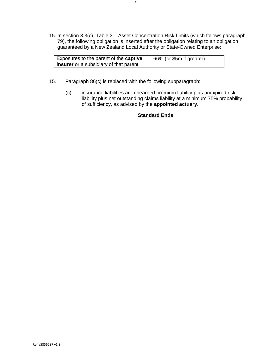15. In section 3.3(c), Table 3 – Asset Concentration Risk Limits (which follows paragraph 79), the following obligation is inserted after the obligation relating to an obligation guaranteed by a New Zealand Local Authority or State-Owned Enterprise:

| Exposures to the parent of the <b>captive</b> | $\vert$ 66% (or \$5m if greater) |
|-----------------------------------------------|----------------------------------|
| <b>insurer</b> or a subsidiary of that parent |                                  |

- 15. Paragraph 86(c) is replaced with the following subparagraph:
	- (c) insurance liabilities are unearned premium liability plus unexpired risk liability plus net outstanding claims liability at a minimum 75% probability of sufficiency, as advised by the **appointed actuary**.

# **Standard Ends**